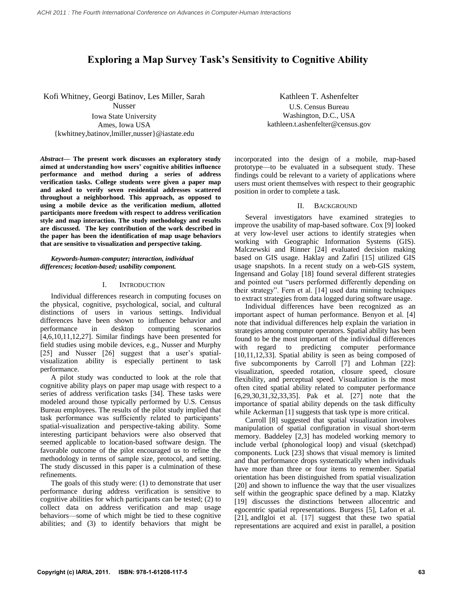# **Exploring a Map Survey Task's Sensitivity to Cognitive Ability**

Kofi Whitney, Georgi Batinov, Les Miller, Sarah Nusser Iowa State University Ames, Iowa USA {kwhitney,batinov,lmiller,nusser}@iastate.edu

*Abstract***— The present work discusses an exploratory study aimed at understanding how users' cognitive abilities influence performance and method during a series of address verification tasks. College students were given a paper map and asked to verify seven residential addresses scattered throughout a neighborhood. This approach, as opposed to using a mobile device as the verification medium, allotted participants more freedom with respect to address verification style and map interaction. The study methodology and results are discussed. The key contribution of the work described in the paper has been the identification of map usage behaviors that are sensitive to visualization and perspective taking.**

*Keywords-human-computer; interaction, individual differences; location-based; usability component.*

### I. INTRODUCTION

Individual differences research in computing focuses on the physical, cognitive, psychological, social, and cultural distinctions of users in various settings. Individual differences have been shown to influence behavior and performance in desktop computing scenarios [4,6,10,11,12,27]. Similar findings have been presented for field studies using mobile devices, e.g., Nusser and Murphy [25] and Nusser [26] suggest that a user's spatialvisualization ability is especially pertinent to task performance.

A pilot study was conducted to look at the role that cognitive ability plays on paper map usage with respect to a series of address verification tasks [34]. These tasks were modeled around those typically performed by U.S. Census Bureau employees. The results of the pilot study implied that task performance was sufficiently related to participants' spatial-visualization and perspective-taking ability. Some interesting participant behaviors were also observed that seemed applicable to location-based software design. The favorable outcome of the pilot encouraged us to refine the methodology in terms of sample size, protocol, and setting. The study discussed in this paper is a culmination of these refinements.

The goals of this study were: (1) to demonstrate that user performance during address verification is sensitive to cognitive abilities for which participants can be tested; (2) to collect data on address verification and map usage behaviors—some of which might be tied to these cognitive abilities; and (3) to identify behaviors that might be

Kathleen T. Ashenfelter U.S. Census Bureau Washington, D.C., USA kathleen.t.ashenfelter@census.gov

incorporated into the design of a mobile, map-based prototype—to be evaluated in a subsequent study. These findings could be relevant to a variety of applications where users must orient themselves with respect to their geographic position in order to complete a task.

#### II. BACKGROUND

Several investigators have examined strategies to improve the usability of map-based software. Cox [9] looked at very low-level user actions to identify strategies when working with Geographic Information Systems (GIS). Malczewski and Rinner [24] evaluated decision making based on GIS usage. Haklay and Zafiri [15] utilized GIS usage snapshots. In a recent study on a web-GIS system, Ingensand and Golay [18] found several different strategies and pointed out "users performed differently depending on their strategy". Fern et al. [14] used data mining techniques to extract strategies from data logged during software usage.

Individual differences have been recognized as an important aspect of human performance. Benyon et al. [4] note that individual differences help explain the variation in strategies among computer operators. Spatial ability has been found to be the most important of the individual differences with regard to predicting computer performance [10,11,12,33]. Spatial ability is seen as being composed of five subcomponents by Carroll [7] and Lohman [22]: visualization, speeded rotation, closure speed, closure flexibility, and perceptual speed. Visualization is the most often cited spatial ability related to computer performance [6,29,30,31,32,33,35]. Pak et al. [27] note that the importance of spatial ability depends on the task difficulty while Ackerman [1] suggests that task type is more critical.

Carroll [8] suggested that spatial visualization involves manipulation of spatial configuration in visual short-term memory. Baddeley [2,3] has modeled working memory to include verbal (phonological loop) and visual (sketchpad) components. Luck [23] shows that visual memory is limited and that performance drops systematically when individuals have more than three or four items to remember. Spatial orientation has been distinguished from spatial visualization [20] and shown to influence the way that the user visualizes self within the geographic space defined by a map. Klatzky [19] discusses the distinctions between allocentric and egocentric spatial representations. Burgess [5], Lafon et al. [21], andIgloi et al. [17] suggest that these two spatial representations are acquired and exist in parallel, a position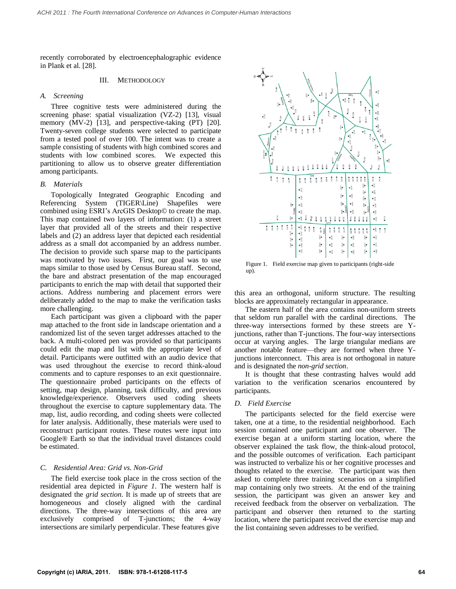recently corroborated by electroencephalographic evidence in Plank et al. [28].

### III. METHODOLOGY

### *A. Screening*

Three cognitive tests were administered during the screening phase: spatial visualization (VZ-2) [13], visual memory (MV-2) [13], and perspective-taking (PT) [20]. Twenty-seven college students were selected to participate from a tested pool of over 100. The intent was to create a sample consisting of students with high combined scores and students with low combined scores. We expected this partitioning to allow us to observe greater differentiation among participants.

### *B. Materials*

Topologically Integrated Geographic Encoding and Referencing System (TIGER\Line) Shapefiles were combined using ESRI's ArcGIS Desktop© to create the map. This map contained two layers of information: (1) a street layer that provided all of the streets and their respective labels and (2) an address layer that depicted each residential address as a small dot accompanied by an address number. The decision to provide such sparse map to the participants was motivated by two issues. First, our goal was to use maps similar to those used by Census Bureau staff. Second, the bare and abstract presentation of the map encouraged participants to enrich the map with detail that supported their actions. Address numbering and placement errors were deliberately added to the map to make the verification tasks more challenging.

Each participant was given a clipboard with the paper map attached to the front side in landscape orientation and a randomized list of the seven target addresses attached to the back. A multi-colored pen was provided so that participants could edit the map and list with the appropriate level of detail. Participants were outfitted with an audio device that was used throughout the exercise to record think-aloud comments and to capture responses to an exit questionnaire. The questionnaire probed participants on the effects of setting, map design, planning, task difficulty, and previous knowledge/experience. Observers used coding sheets throughout the exercise to capture supplementary data. The map, list, audio recording, and coding sheets were collected for later analysis. Additionally, these materials were used to reconstruct participant routes. These routes were input into Google® Earth so that the individual travel distances could be estimated.

### *C. Residential Area: Grid vs. Non-Grid*

The field exercise took place in the cross section of the residential area depicted in *Figure 1*. The western half is designated the *grid section*. It is made up of streets that are homogeneous and closely aligned with the cardinal directions. The three-way intersections of this area are exclusively comprised of T-junctions; the 4-way intersections are similarly perpendicular. These features give



Figure 1. Field exercise map given to participants (right-side up).

this area an orthogonal, uniform structure. The resulting blocks are approximately rectangular in appearance.

The eastern half of the area contains non-uniform streets that seldom run parallel with the cardinal directions. The three-way intersections formed by these streets are Yjunctions, rather than T-junctions. The four-way intersections occur at varying angles. The large triangular medians are another notable feature—they are formed when three Yjunctions interconnect. This area is not orthogonal in nature and is designated the *non-grid section*.

It is thought that these contrasting halves would add variation to the verification scenarios encountered by participants.

### *D. Field Exercise*

The participants selected for the field exercise were taken, one at a time, to the residential neighborhood. Each session contained one participant and one observer. The exercise began at a uniform starting location, where the observer explained the task flow, the think-aloud protocol, and the possible outcomes of verification. Each participant was instructed to verbalize his or her cognitive processes and thoughts related to the exercise. The participant was then asked to complete three training scenarios on a simplified map containing only two streets. At the end of the training session, the participant was given an answer key and received feedback from the observer on verbalization. The participant and observer then returned to the starting location, where the participant received the exercise map and the list containing seven addresses to be verified.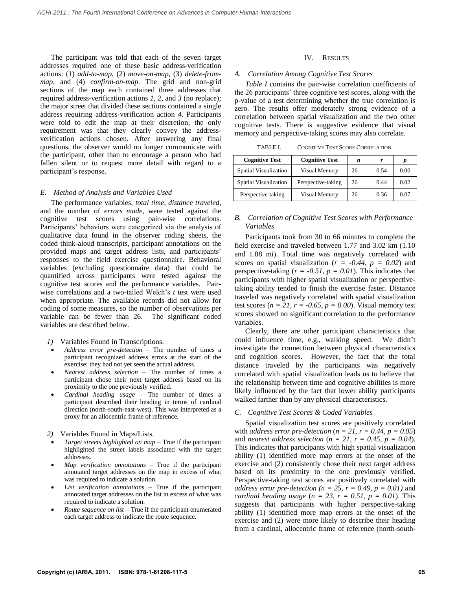The participant was told that each of the seven target addresses required one of these basic address-verification actions: (1) *add-to-map*, (2) *move-on-map*, (3) *delete-frommap*, and (4) *confirm-on-map*. The grid and non-grid sections of the map each contained three addresses that required address-verification actions *1*, *2*, and *3* (no replace); the major street that divided these sections contained a single address requiring address-verification action *4*. Participants were told to edit the map at their discretion; the only requirement was that they clearly convey the addressverification actions chosen. After answering any final questions, the observer would no longer communicate with the participant, other than to encourage a person who had fallen silent or to request more detail with regard to a participant's response.

### *E. Method of Analysis and Variables Used*

The performance variables, *total time*, *distance traveled*, and the number of *errors made*, were tested against the cognitive test scores using pair-wise correlations. Participants' behaviors were categorized via the analysis of qualitative data found in the observer coding sheets, the coded think-aloud transcripts, participant annotations on the provided maps and target address lists, and participants' responses to the field exercise questionnaire. Behavioral variables (excluding questionnaire data) that could be quantified across participants were tested against the cognitive test scores and the performance variables. Pairwise correlations and a two-tailed Welch's *t* test were used when appropriate. The available records did not allow for coding of some measures, so the number of observations per variable can be fewer than 26. The significant coded variables are described below.

*1)* Variables Found in Transcriptions.

- *Address error pre-detection*  The number of times a participant recognized address errors at the start of the exercise; they had not yet seen the actual address.
- *Nearest address selection* The number of times a participant chose their next target address based on its proximity to the one previously verified.
- *Cardinal heading usage* The number of times a participant described their heading in terms of cardinal direction (north-south-east-west). This was interpreted as a proxy for an allocentric frame of reference.
- *2)* Variables Found in Maps/Lists.
- *Target streets highlighted on map* True if the participant highlighted the street labels associated with the target addresses.
- *Map verification annotations*  True if the participant annotated target addresses on the map in excess of what was required to indicate a solution.
- *List verification annotations* True if the participant annotated target addresses on the list in excess of what was required to indicate a solution.
- *Route sequence on list* True if the participant enumerated each target address to indicate the route sequence.

### IV. RESULTS

#### *A. Correlation Among Cognitive Test Scores*

*Table I* contains the pair-wise correlation coefficients of the 26 participants' three cognitive test scores, along with the p-value of a test determining whether the true correlation is zero. The results offer moderately strong evidence of a correlation between spatial visualization and the two other cognitive tests. There is suggestive evidence that visual memory and perspective-taking scores may also correlate.

| <b>COGNITIVE TEST SCORE CORRELATION.</b><br>TABLE L |
|-----------------------------------------------------|
|-----------------------------------------------------|

| <b>Cognitive Test</b> | <b>Cognitive Test</b> | n  |      |      |
|-----------------------|-----------------------|----|------|------|
| Spatial Visualization | Visual Memory         | 26 | 0.54 | 0.00 |
| Spatial Visualization | Perspective-taking    | 26 | 0.44 | 0.02 |
| Perspective-taking    | Visual Memory         | 26 | 0.36 | 0.07 |

### *B. Correlation of Cognitive Test Scores with Performance Variables*

Participants took from 30 to 66 minutes to complete the field exercise and traveled between 1.77 and 3.02 km (1.10 and 1.88 mi). Total time was negatively correlated with scores on spatial visualization ( $r = -0.44$ ,  $p = 0.02$ ) and perspective-taking  $(r = -0.51, p = 0.01)$ . This indicates that participants with higher spatial visualization or perspectivetaking ability tended to finish the exercise faster. Distance traveled was negatively correlated with spatial visualization test scores ( $n = 21$ ,  $r = -0.65$ ,  $p = 0.00$ ). Visual memory test scores showed no significant correlation to the performance variables.

Clearly, there are other participant characteristics that could influence time, e.g., walking speed. We didn't investigate the connection between physical characteristics and cognition scores. However, the fact that the total distance traveled by the participants was negatively correlated with spatial visualization leads us to believe that the relationship between time and cognitive abilities is more likely influenced by the fact that lower ability participants walked farther than by any physical characteristics.

### *C. Cognitive Test Scores & Coded Variables*

Spatial visualization test scores are positively correlated with *address error pre-detection*  $(n = 21, r = 0.44, p = 0.05)$ and *nearest address selection* ( $n = 21$ ,  $r = 0.45$ ,  $p = 0.04$ ). This indicates that participants with high spatial visualization ability (1) identified more map errors at the onset of the exercise and (2) consistently chose their next target address based on its proximity to the one previously verified. Perspective-taking test scores are positively correlated with *address error pre-detection (n = 25, r = 0.49, p = 0.01)* and *cardinal heading usage*  $(n = 23, r = 0.51, p = 0.01)$ . This suggests that participants with higher perspective-taking ability (1) identified more map errors at the onset of the exercise and (2) were more likely to describe their heading from a cardinal, allocentric frame of reference (north-south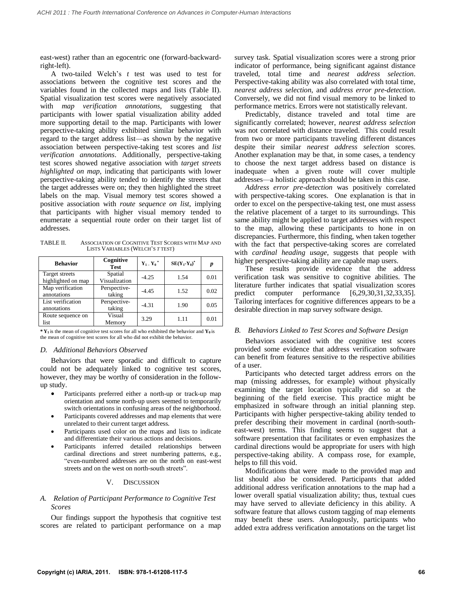east-west) rather than an egocentric one (forward-backwardright-left).

A two-tailed Welch's *t* test was used to test for associations between the cognitive test scores and the variables found in the collected maps and lists (Table II). Spatial visualization test scores were negatively associated with *map verification annotations*, suggesting that participants with lower spatial visualization ability added more supporting detail to the map. Participants with lower perspective-taking ability exhibited similar behavior with regard to the target address list—as shown by the negative association between perspective-taking test scores and *list verification annotations*. Additionally, perspective-taking test scores showed negative association with *target streets highlighted on map*, indicating that participants with lower perspective-taking ability tended to identify the streets that the target addresses were on; they then highlighted the street labels on the map. Visual memory test scores showed a positive association with *route sequence on list*, implying that participants with higher visual memory tended to enumerate a sequential route order on their target list of addresses.

TABLE II. ASSOCIATION OF COGNITIVE TEST SCORES WITH MAP AND LISTS VARIABLES (WELCH'S *T* TEST)

| <b>Behavior</b>                      | Cognitive<br><b>Test</b> | $Y_1$ $Y_0$ <sup>*</sup> | $SE(Y_1-Y_0)^*$ | p    |
|--------------------------------------|--------------------------|--------------------------|-----------------|------|
| Target streets<br>highlighted on map | Spatial<br>Visualization | $-4.25$                  | 1.54            | 0.01 |
| Map verification<br>annotations      | Perspective-<br>taking   | $-4.45$                  | 1.52            | 0.02 |
| List verification<br>annotations     | Perspective-<br>taking   | $-4.31$                  | 1.90            | 0.05 |
| Route sequence on<br>list            | Visual<br>Memory         | 3.29                     | 1.11            | 0.01 |

 $*$  **Y**<sub>1</sub> is the mean of cognitive test scores for all who exhibited the behavior and **Y**<sub>0</sub> is the mean of cognitive test scores for all who did not exhibit the behavior.

### *D. Additional Behaviors Observed*

Behaviors that were sporadic and difficult to capture could not be adequately linked to cognitive test scores, however, they may be worthy of consideration in the followup study.

- Participants preferred either a north-up or track-up map orientation and some north-up users seemed to temporarily switch orientations in confusing areas of the neighborhood.
- Participants covered addresses and map elements that were unrelated to their current target address.
- Participants used color on the maps and lists to indicate and differentiate their various actions and decisions.
- Participants inferred detailed relationships between cardinal directions and street numbering patterns, e.g., "even-numbered addresses are on the north on east-west streets and on the west on north-south streets".

### V. DISCUSSION

## *A. Relation of Participant Performance to Cognitive Test Scores*

Our findings support the hypothesis that cognitive test scores are related to participant performance on a map

survey task. Spatial visualization scores were a strong prior indicator of performance, being significant against distance traveled, total time and *nearest address selection*. Perspective-taking ability was also correlated with total time, *nearest address selection*, and *address error pre-detection*. Conversely, we did not find visual memory to be linked to performance metrics. Errors were not statistically relevant.

Predictably, distance traveled and total time are significantly correlated; however, *nearest address selection* was not correlated with distance traveled. This could result from two or more participants traveling different distances despite their similar *nearest address selection* scores. Another explanation may be that, in some cases, a tendency to choose the next target address based on distance is inadequate when a given route will cover multiple addresses—a holistic approach should be taken in this case.

*Address error pre-detection* was positively correlated with perspective-taking scores. One explanation is that in order to excel on the perspective-taking test, one must assess the relative placement of a target to its surroundings. This same ability might be applied to target addresses with respect to the map, allowing these participants to hone in on discrepancies. Furthermore, this finding, when taken together with the fact that perspective-taking scores are correlated with *cardinal heading usage*, suggests that people with higher perspective-taking ability are capable map users.

These results provide evidence that the address verification task was sensitive to cognitive abilities. The literature further indicates that spatial visualization scores predict computer performance [6,29,30,31,32,33,35]. Tailoring interfaces for cognitive differences appears to be a desirable direction in map survey software design.

### *B. Behaviors Linked to Test Scores and Software Design*

Behaviors associated with the cognitive test scores provided some evidence that address verification software can benefit from features sensitive to the respective abilities of a user.

Participants who detected target address errors on the map (missing addresses, for example) without physically examining the target location typically did so at the beginning of the field exercise. This practice might be emphasized in software through an initial planning step. Participants with higher perspective-taking ability tended to prefer describing their movement in cardinal (north-southeast-west) terms. This finding seems to suggest that a software presentation that facilitates or even emphasizes the cardinal directions would be appropriate for users with high perspective-taking ability. A compass rose, for example, helps to fill this void.

Modifications that were made to the provided map and list should also be considered. Participants that added additional address verification annotations to the map had a lower overall spatial visualization ability; thus, textual cues may have served to alleviate deficiency in this ability. A software feature that allows custom tagging of map elements may benefit these users. Analogously, participants who added extra address verification annotations on the target list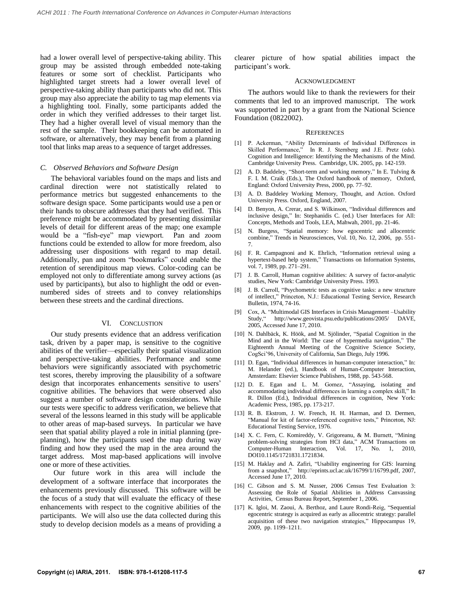had a lower overall level of perspective-taking ability. This group may be assisted through embedded note-taking features or some sort of checklist. Participants who highlighted target streets had a lower overall level of perspective-taking ability than participants who did not. This group may also appreciate the ability to tag map elements via a highlighting tool. Finally, some participants added the order in which they verified addresses to their target list. They had a higher overall level of visual memory than the rest of the sample. Their bookkeeping can be automated in software, or alternatively, they may benefit from a planning tool that links map areas to a sequence of target addresses.

### *C. Observed Behaviors and Software Design*

The behavioral variables found on the maps and lists and cardinal direction were not statistically related to performance metrics but suggested enhancements to the software design space. Some participants would use a pen or their hands to obscure addresses that they had verified. This preference might be accommodated by presenting dissimilar levels of detail for different areas of the map; one example would be a "fish-eye" map viewport. Pan and zoom functions could be extended to allow for more freedom, also addressing user dispositions with regard to map detail. Additionally, pan and zoom "bookmarks" could enable the retention of serendipitous map views. Color-coding can be employed not only to differentiate among survey actions (as used by participants), but also to highlight the odd or evennumbered sides of streets and to convey relationships between these streets and the cardinal directions.

### VI. CONCLUSTION

Our study presents evidence that an address verification task, driven by a paper map, is sensitive to the cognitive abilities of the verifier—especially their spatial visualization and perspective-taking abilities. Performance and some behaviors were significantly associated with psychometric test scores, thereby improving the plausibility of a software design that incorporates enhancements sensitive to users' cognitive abilities. The behaviors that were observed also suggest a number of software design considerations. While our tests were specific to address verification, we believe that several of the lessons learned in this study will be applicable to other areas of map-based surveys. In particular we have seen that spatial ability played a role in initial planning (preplanning), how the participants used the map during way finding and how they used the map in the area around the target address. Most map-based applications will involve one or more of these activities.

Our future work in this area will include the development of a software interface that incorporates the enhancements previously discussed. This software will be the focus of a study that will evaluate the efficacy of these enhancements with respect to the cognitive abilities of the participants. We will also use the data collected during this study to develop decision models as a means of providing a clearer picture of how spatial abilities impact the participant's work.

#### ACKNOWLEDGMENT

The authors would like to thank the reviewers for their comments that led to an improved manuscript. The work was supported in part by a grant from the National Science Foundation (0822002).

#### **REFERENCES**

- [1] P. Ackerman, "Ability Determinants of Individual Differences in Skilled Performance," In R. J. Sternberg and J.E. Pretz (eds). Cognition and Intelligence: Identifying the Mechanisms of the Mind. Cambridge University Press. Cambridge, UK. 2005, pp. 142-159.
- [2] A. D. Baddeley, "Short-term and working memory," In E. Tulving & F. I. M. Craik (Eds.), The Oxford handbook of memory, Oxford, England: Oxford University Press, 2000, pp. 77–92.
- [3] A. D. Baddeley Working Memory, Thought, and Action. Oxford University Press. Oxford, England, 2007.
- [4] D. Benyon, A. Crerar, and S. Wilkinson, "Individual differences and inclusive design," In: Stephanidis C. (ed.) User Interfaces for All: Concepts, Methods and Tools, LEA, Mahwah, 2001, pp. 21-46.
- [5] N. Burgess, "Spatial memory: how egocentric and allocentric combine," Trends in Neurosciences, Vol. 10, No. 12, 2006, pp. 551-7.
- [6] F. R. Campagnoni and K. Ehrlich, "Information retrieval using a hypertext-based help system," Transactions on Information Systems, vol. 7, 1989, pp. 271–291.
- [7] J. B. Carroll, Human cognitive abilities: A survey of factor-analytic studies, New York: Cambridge University Press. 1993.
- [8] J. B. Carroll, "Psychometric tests as cognitive tasks: a new structure of intellect," Princeton, N.J.: Educational Testing Service, Research Bulletin, 1974, 74-16.
- [9] Cox, A. "Multimodal GIS Interfaces in Crisis Management –Usability Study," http://www.geovista.psu.edu/publications/2005/ DAVE, 2005, Accessed June 17, 2010.
- [10] N. Dahlbäck, K. Höök, and M. Sjölinder, "Spatial Cognition in the Mind and in the World: The case of hypermedia navigation," The Eighteenth Annual Meeting of the Cognitive Science Society, CogSci'96, University of California, San Diego, July 1996.
- [11] D. Egan, "Individual differences in human-computer interaction," In: M. Helander (ed.), Handbook of Human-Computer Interaction, Amsterdam: Elsevier Science Publishers, 1988, pp. 543-568.
- [12] D. E. Egan and L. M. Gomez, "Assaying, isolating and accommodating individual differences in learning a complex skill," In R. Dillon (Ed.), Individual differences in cognition, New York: Academic Press, 1985, pp. 173-217.
- [13] R. B. Ekstrom, J. W. French, H. H. Harman, and D. Dermen, "Manual for kit of factor-referenced cognitive tests," Princeton, NJ: Educational Testing Service, 1976.
- [14] X. C. Fern, C. Komireddy, V. Grigoreanu, & M. Burnett, "Mining problem-solving strategies from HCI data," ACM Transactions on Computer-Human Interaction, Vol. 17, No. 1, 2010, DOI10.1145/1721831.1721834.
- [15] M. Haklay and A. Zafiri, "Usability engineering for GIS: learning from a snapshot," http://eprints.ucl.ac.uk/16799/1/16799.pdf, 2007, Accessed June 17, 2010.
- [16] C. Gibson and S. M. Nusser, 2006 Census Test Evaluation 3: Assessing the Role of Spatial Abilities in Address Canvassing Activities, Census Bureau Report, September 1, 2006.
- [17] K. Igloi, M. Zaoui, A. Berthoz, and Laure Rondi-Reig, "Sequential egocentric strategy is acquired as early as allocentric strategy: parallel acquisition of these two navigation strategies," Hippocampus 19, 2009, pp. 1199–1211.